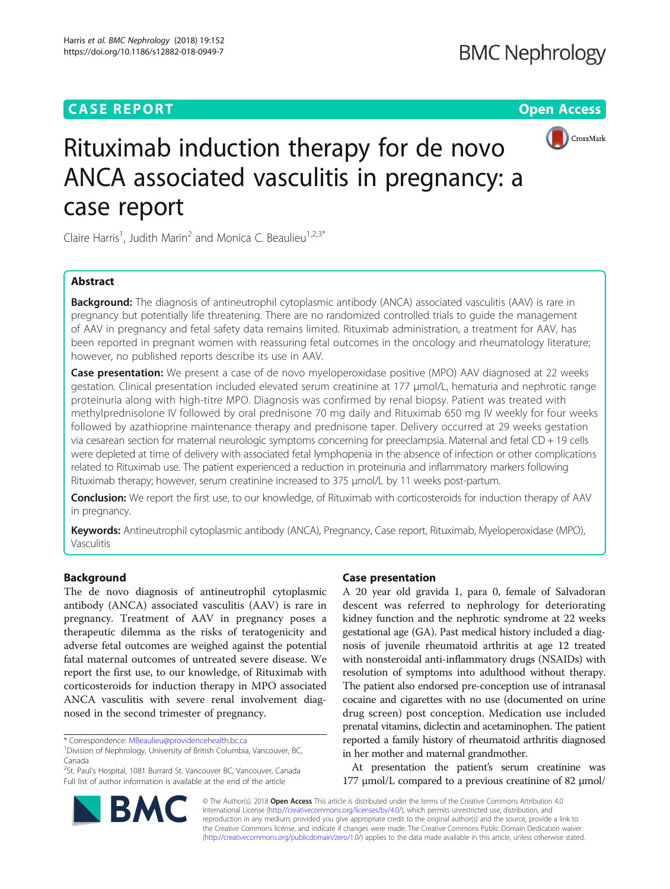# **CASE REPORT CASE REPORT CASE REPORT**



# Rituximab induction therapy for de novo ANCA associated vasculitis in pregnancy: a case report

Claire Harris<sup>1</sup>, Judith Marin<sup>2</sup> and Monica C. Beaulieu<sup>1,2,3\*</sup>

# Abstract

**Background:** The diagnosis of antineutrophil cytoplasmic antibody (ANCA) associated vasculitis (AAV) is rare in pregnancy but potentially life threatening. There are no randomized controlled trials to guide the management of AAV in pregnancy and fetal safety data remains limited. Rituximab administration, a treatment for AAV, has been reported in pregnant women with reassuring fetal outcomes in the oncology and rheumatology literature; however, no published reports describe its use in AAV.

**Case presentation:** We present a case of de novo myeloperoxidase positive (MPO) AAV diagnosed at 22 weeks gestation. Clinical presentation included elevated serum creatinine at 177 μmol/L, hematuria and nephrotic range proteinuria along with high-titre MPO. Diagnosis was confirmed by renal biopsy. Patient was treated with methylprednisolone IV followed by oral prednisone 70 mg daily and Rituximab 650 mg IV weekly for four weeks followed by azathioprine maintenance therapy and prednisone taper. Delivery occurred at 29 weeks gestation via cesarean section for maternal neurologic symptoms concerning for preeclampsia. Maternal and fetal CD + 19 cells were depleted at time of delivery with associated fetal lymphopenia in the absence of infection or other complications related to Rituximab use. The patient experienced a reduction in proteinuria and inflammatory markers following Rituximab therapy; however, serum creatinine increased to 375 μmol/L by 11 weeks post-partum.

**Conclusion:** We report the first use, to our knowledge, of Rituximab with corticosteroids for induction therapy of AAV in pregnancy.

Keywords: Antineutrophil cytoplasmic antibody (ANCA), Pregnancy, Case report, Rituximab, Myeloperoxidase (MPO), Vasculitis

# Background

The de novo diagnosis of antineutrophil cytoplasmic antibody (ANCA) associated vasculitis (AAV) is rare in pregnancy. Treatment of AAV in pregnancy poses a therapeutic dilemma as the risks of teratogenicity and adverse fetal outcomes are weighed against the potential fatal maternal outcomes of untreated severe disease. We report the first use, to our knowledge, of Rituximab with corticosteroids for induction therapy in MPO associated ANCA vasculitis with severe renal involvement diagnosed in the second trimester of pregnancy.

<sup>2</sup>St. Paul's Hospital, 1081 Burrard St. Vancouver BC, Vancouver, Canada Full list of author information is available at the end of the article

## Case presentation

A 20 year old gravida 1, para 0, female of Salvadoran descent was referred to nephrology for deteriorating kidney function and the nephrotic syndrome at 22 weeks gestational age (GA). Past medical history included a diagnosis of juvenile rheumatoid arthritis at age 12 treated with nonsteroidal anti-inflammatory drugs (NSAIDs) with resolution of symptoms into adulthood without therapy. The patient also endorsed pre-conception use of intranasal cocaine and cigarettes with no use (documented on urine drug screen) post conception. Medication use included prenatal vitamins, diclectin and acetaminophen. The patient reported a family history of rheumatoid arthritis diagnosed in her mother and maternal grandmother.

At presentation the patient's serum creatinine was 177 μmol/L compared to a previous creatinine of 82 μmol/

© The Author(s). 2018 Open Access This article is distributed under the terms of the Creative Commons Attribution 4.0 International License [\(http://creativecommons.org/licenses/by/4.0/](http://creativecommons.org/licenses/by/4.0/)), which permits unrestricted use, distribution, and reproduction in any medium, provided you give appropriate credit to the original author(s) and the source, provide a link to the Creative Commons license, and indicate if changes were made. The Creative Commons Public Domain Dedication waiver [\(http://creativecommons.org/publicdomain/zero/1.0/](http://creativecommons.org/publicdomain/zero/1.0/)) applies to the data made available in this article, unless otherwise stated.



<sup>\*</sup> Correspondence: [MBeaulieu@providencehealth.bc.ca](mailto:MBeaulieu@providencehealth.bc.ca) <sup>1</sup>

Division of Nephrology, University of British Columbia, Vancouver, BC, Canada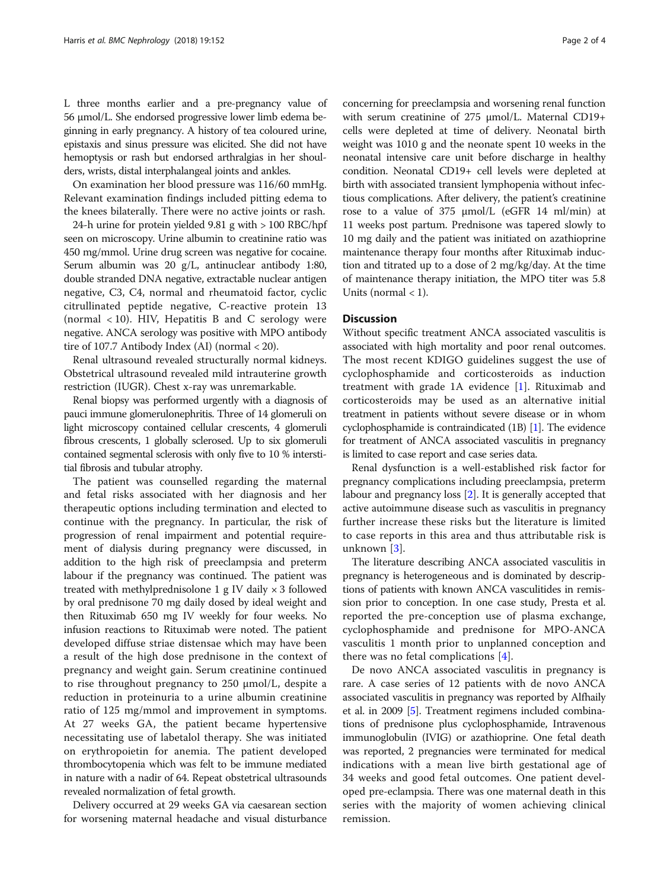L three months earlier and a pre-pregnancy value of 56 μmol/L. She endorsed progressive lower limb edema beginning in early pregnancy. A history of tea coloured urine, epistaxis and sinus pressure was elicited. She did not have hemoptysis or rash but endorsed arthralgias in her shoulders, wrists, distal interphalangeal joints and ankles.

On examination her blood pressure was 116/60 mmHg. Relevant examination findings included pitting edema to the knees bilaterally. There were no active joints or rash.

24-h urine for protein yielded 9.81 g with > 100 RBC/hpf seen on microscopy. Urine albumin to creatinine ratio was 450 mg/mmol. Urine drug screen was negative for cocaine. Serum albumin was 20 g/L, antinuclear antibody 1:80, double stranded DNA negative, extractable nuclear antigen negative, C3, C4, normal and rheumatoid factor, cyclic citrullinated peptide negative, C-reactive protein 13 (normal  $\langle 10 \rangle$ . HIV, Hepatitis B and C serology were negative. ANCA serology was positive with MPO antibody tire of 107.7 Antibody Index (AI) (normal < 20).

Renal ultrasound revealed structurally normal kidneys. Obstetrical ultrasound revealed mild intrauterine growth restriction (IUGR). Chest x-ray was unremarkable.

Renal biopsy was performed urgently with a diagnosis of pauci immune glomerulonephritis. Three of 14 glomeruli on light microscopy contained cellular crescents, 4 glomeruli fibrous crescents, 1 globally sclerosed. Up to six glomeruli contained segmental sclerosis with only five to 10 % interstitial fibrosis and tubular atrophy.

The patient was counselled regarding the maternal and fetal risks associated with her diagnosis and her therapeutic options including termination and elected to continue with the pregnancy. In particular, the risk of progression of renal impairment and potential requirement of dialysis during pregnancy were discussed, in addition to the high risk of preeclampsia and preterm labour if the pregnancy was continued. The patient was treated with methylprednisolone 1 g IV daily × 3 followed by oral prednisone 70 mg daily dosed by ideal weight and then Rituximab 650 mg IV weekly for four weeks. No infusion reactions to Rituximab were noted. The patient developed diffuse striae distensae which may have been a result of the high dose prednisone in the context of pregnancy and weight gain. Serum creatinine continued to rise throughout pregnancy to 250 μmol/L, despite a reduction in proteinuria to a urine albumin creatinine ratio of 125 mg/mmol and improvement in symptoms. At 27 weeks GA, the patient became hypertensive necessitating use of labetalol therapy. She was initiated on erythropoietin for anemia. The patient developed thrombocytopenia which was felt to be immune mediated in nature with a nadir of 64. Repeat obstetrical ultrasounds revealed normalization of fetal growth.

Delivery occurred at 29 weeks GA via caesarean section for worsening maternal headache and visual disturbance concerning for preeclampsia and worsening renal function with serum creatinine of 275 μmol/L. Maternal CD19+ cells were depleted at time of delivery. Neonatal birth weight was 1010 g and the neonate spent 10 weeks in the neonatal intensive care unit before discharge in healthy condition. Neonatal CD19+ cell levels were depleted at birth with associated transient lymphopenia without infectious complications. After delivery, the patient's creatinine rose to a value of 375 μmol/L (eGFR 14 ml/min) at 11 weeks post partum. Prednisone was tapered slowly to 10 mg daily and the patient was initiated on azathioprine maintenance therapy four months after Rituximab induction and titrated up to a dose of 2 mg/kg/day. At the time of maintenance therapy initiation, the MPO titer was 5.8 Units (normal  $<$  1).

# **Discussion**

Without specific treatment ANCA associated vasculitis is associated with high mortality and poor renal outcomes. The most recent KDIGO guidelines suggest the use of cyclophosphamide and corticosteroids as induction treatment with grade 1A evidence [[1\]](#page-3-0). Rituximab and corticosteroids may be used as an alternative initial treatment in patients without severe disease or in whom cyclophosphamide is contraindicated (1B) [\[1\]](#page-3-0). The evidence for treatment of ANCA associated vasculitis in pregnancy is limited to case report and case series data.

Renal dysfunction is a well-established risk factor for pregnancy complications including preeclampsia, preterm labour and pregnancy loss [[2](#page-3-0)]. It is generally accepted that active autoimmune disease such as vasculitis in pregnancy further increase these risks but the literature is limited to case reports in this area and thus attributable risk is unknown [[3](#page-3-0)].

The literature describing ANCA associated vasculitis in pregnancy is heterogeneous and is dominated by descriptions of patients with known ANCA vasculitides in remission prior to conception. In one case study, Presta et al. reported the pre-conception use of plasma exchange, cyclophosphamide and prednisone for MPO-ANCA vasculitis 1 month prior to unplanned conception and there was no fetal complications  $[4]$  $[4]$  $[4]$ .

De novo ANCA associated vasculitis in pregnancy is rare. A case series of 12 patients with de novo ANCA associated vasculitis in pregnancy was reported by Alfhaily et al. in 2009 [[5](#page-3-0)]. Treatment regimens included combinations of prednisone plus cyclophosphamide, Intravenous immunoglobulin (IVIG) or azathioprine. One fetal death was reported, 2 pregnancies were terminated for medical indications with a mean live birth gestational age of 34 weeks and good fetal outcomes. One patient developed pre-eclampsia. There was one maternal death in this series with the majority of women achieving clinical remission.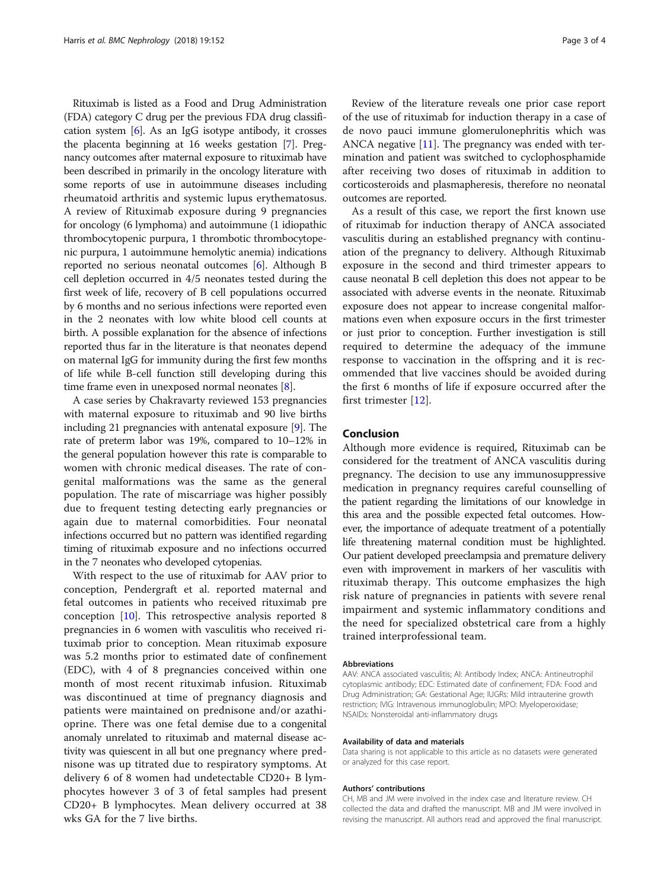Rituximab is listed as a Food and Drug Administration (FDA) category C drug per the previous FDA drug classification system  $[6]$ . As an IgG isotype antibody, it crosses the placenta beginning at 16 weeks gestation [\[7](#page-3-0)]. Pregnancy outcomes after maternal exposure to rituximab have been described in primarily in the oncology literature with some reports of use in autoimmune diseases including rheumatoid arthritis and systemic lupus erythematosus. A review of Rituximab exposure during 9 pregnancies for oncology (6 lymphoma) and autoimmune (1 idiopathic thrombocytopenic purpura, 1 thrombotic thrombocytopenic purpura, 1 autoimmune hemolytic anemia) indications reported no serious neonatal outcomes [[6\]](#page-3-0). Although B cell depletion occurred in 4/5 neonates tested during the first week of life, recovery of B cell populations occurred by 6 months and no serious infections were reported even in the 2 neonates with low white blood cell counts at birth. A possible explanation for the absence of infections reported thus far in the literature is that neonates depend on maternal IgG for immunity during the first few months of life while B-cell function still developing during this time frame even in unexposed normal neonates [[8](#page-3-0)].

A case series by Chakravarty reviewed 153 pregnancies with maternal exposure to rituximab and 90 live births including 21 pregnancies with antenatal exposure [[9\]](#page-3-0). The rate of preterm labor was 19%, compared to 10–12% in the general population however this rate is comparable to women with chronic medical diseases. The rate of congenital malformations was the same as the general population. The rate of miscarriage was higher possibly due to frequent testing detecting early pregnancies or again due to maternal comorbidities. Four neonatal infections occurred but no pattern was identified regarding timing of rituximab exposure and no infections occurred in the 7 neonates who developed cytopenias.

With respect to the use of rituximab for AAV prior to conception, Pendergraft et al. reported maternal and fetal outcomes in patients who received rituximab pre conception [[10\]](#page-3-0). This retrospective analysis reported 8 pregnancies in 6 women with vasculitis who received rituximab prior to conception. Mean rituximab exposure was 5.2 months prior to estimated date of confinement (EDC), with 4 of 8 pregnancies conceived within one month of most recent rituximab infusion. Rituximab was discontinued at time of pregnancy diagnosis and patients were maintained on prednisone and/or azathioprine. There was one fetal demise due to a congenital anomaly unrelated to rituximab and maternal disease activity was quiescent in all but one pregnancy where prednisone was up titrated due to respiratory symptoms. At delivery 6 of 8 women had undetectable CD20+ B lymphocytes however 3 of 3 of fetal samples had present CD20+ B lymphocytes. Mean delivery occurred at 38 wks GA for the 7 live births.

Review of the literature reveals one prior case report of the use of rituximab for induction therapy in a case of de novo pauci immune glomerulonephritis which was ANCA negative [[11](#page-3-0)]. The pregnancy was ended with termination and patient was switched to cyclophosphamide after receiving two doses of rituximab in addition to corticosteroids and plasmapheresis, therefore no neonatal outcomes are reported.

As a result of this case, we report the first known use of rituximab for induction therapy of ANCA associated vasculitis during an established pregnancy with continuation of the pregnancy to delivery. Although Rituximab exposure in the second and third trimester appears to cause neonatal B cell depletion this does not appear to be associated with adverse events in the neonate. Rituximab exposure does not appear to increase congenital malformations even when exposure occurs in the first trimester or just prior to conception. Further investigation is still required to determine the adequacy of the immune response to vaccination in the offspring and it is recommended that live vaccines should be avoided during the first 6 months of life if exposure occurred after the first trimester [\[12](#page-3-0)].

# Conclusion

Although more evidence is required, Rituximab can be considered for the treatment of ANCA vasculitis during pregnancy. The decision to use any immunosuppressive medication in pregnancy requires careful counselling of the patient regarding the limitations of our knowledge in this area and the possible expected fetal outcomes. However, the importance of adequate treatment of a potentially life threatening maternal condition must be highlighted. Our patient developed preeclampsia and premature delivery even with improvement in markers of her vasculitis with rituximab therapy. This outcome emphasizes the high risk nature of pregnancies in patients with severe renal impairment and systemic inflammatory conditions and the need for specialized obstetrical care from a highly trained interprofessional team.

#### Abbreviations

AAV: ANCA associated vasculitis; AI: Antibody Index; ANCA: Antineutrophil cytoplasmic antibody; EDC: Estimated date of confinement; FDA: Food and Drug Administration; GA: Gestational Age; IUGRs: Mild intrauterine growth restriction; IVIG: Intravenous immunoglobulin; MPO: Myeloperoxidase; NSAIDs: Nonsteroidal anti-inflammatory drugs

#### Availability of data and materials

Data sharing is not applicable to this article as no datasets were generated or analyzed for this case report.

#### Authors' contributions

CH, MB and JM were involved in the index case and literature review. CH collected the data and drafted the manuscript. MB and JM were involved in revising the manuscript. All authors read and approved the final manuscript.